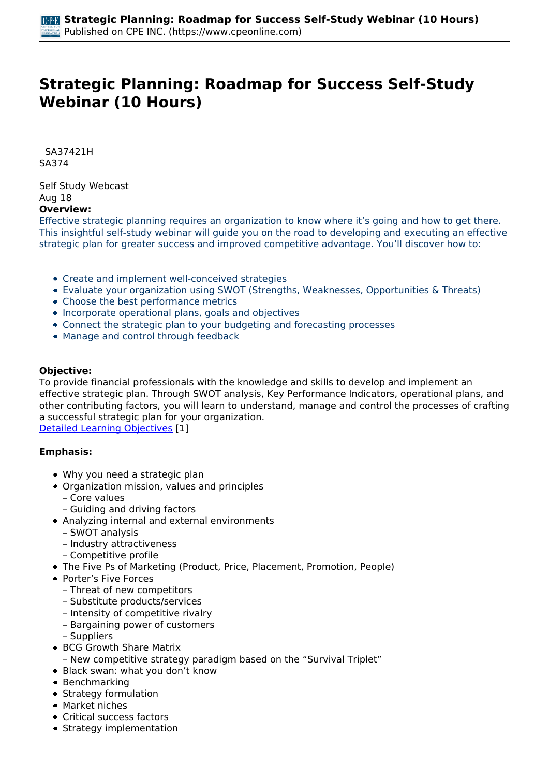# **Strategic Planning: Roadmap for Success Self-Study Webinar (10 Hours)**

 *SA37421H SA374* 

*Self Study Webcast Aug 18*  **Overview:** 

*Effective strategic planning requires an organization to know where it's going and how to get there. This insightful self-study webinar will guide you on the road to developing and executing an effective strategic plan for greater success and improved competitive advantage. You'll discover how to:*

- *Create and implement well-conceived strategies*
- *Evaluate your organization using SWOT (Strengths, Weaknesses, Opportunities & Threats)*
- *Choose the best performance metrics*
- *Incorporate operational plans, goals and objectives*
- *Connect the strategic plan to your budgeting and forecasting processes*
- *Manage and control through feedback*

#### **Objective:**

*To provide financial professionals with the knowledge and skills to develop and implement an effective strategic plan. Through SWOT analysis, Key Performance Indicators, operational plans, and other contributing factors, you will learn to understand, manage and control the processes of crafting a successful strategic plan for your organization.*

*[Detailed Learning Objectives](https://www.cpeonline.com/JavaScript:showObjectivesPopup();) [1]*

#### **Emphasis:**

- *Why you need a strategic plan*
- *Organization mission, values and principles*
	- *Core values*
	- *Guiding and driving factors*
- *Analyzing internal and external environments*
	- *SWOT analysis*
	- *Industry attractiveness*
	- *Competitive profile*
- *The Five Ps of Marketing (Product, Price, Placement, Promotion, People)*
- *Porter's Five Forces*
	- *Threat of new competitors*
	- *Substitute products/services*
	- *Intensity of competitive rivalry*
	- *Bargaining power of customers*
	- *Suppliers*
- *BCG Growth Share Matrix*
- *New competitive strategy paradigm based on the "Survival Triplet"*
- *Black swan: what you don't know*
- *Benchmarking*
- *Strategy formulation*
- *Market niches*
- *Critical success factors*
- *Strategy implementation*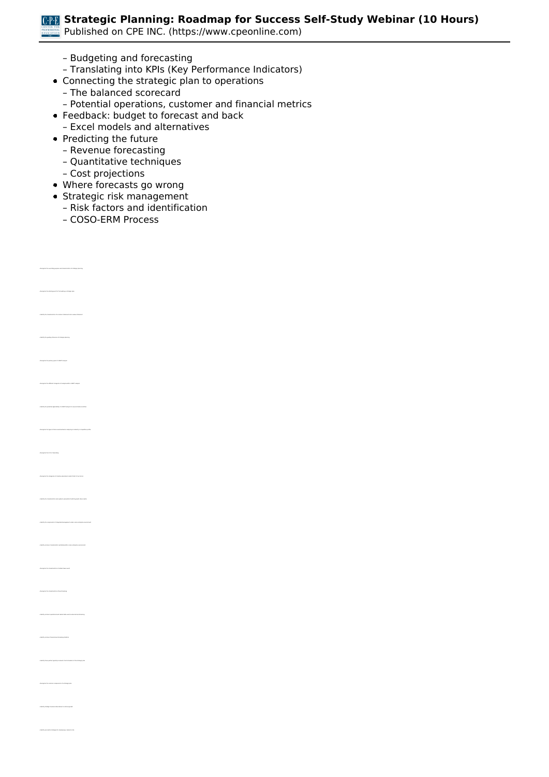*Published on CPE INC. (https://www.cpeonline.com)*

- *Budgeting and forecasting*
- *Translating into KPIs (Key Performance Indicators)*
- *Connecting the strategic plan to operations*
	- *The balanced scorecard*
	- *Potential operations, customer and financial metrics*
- *Feedback: budget to forecast and back*
- *Excel models and alternatives*
- *Predicting the future*
	- *Revenue forecasting*
	- *Quantitative techniques*
	- *Cost projections*
- *Where forecasts go wrong*
- *Strategic risk management*
	- *Risk factors and identification*
	- *COSO-ERM Process*

*• Recognize the starting point for formulating a strategic plan*

*• Identify the guiding influences of strategic planning*

*• Identify the potential applicability of a SWOT analysis to new and mature entities*

*• Recognize the categories of industry assessment under Porter's Five Forces*

*• Identify common characteristics exhibited within a lean enterprise environment*

*• Identify common operational and market data used in external benchmarking*

*• Recognize the common components of a strategic plan*